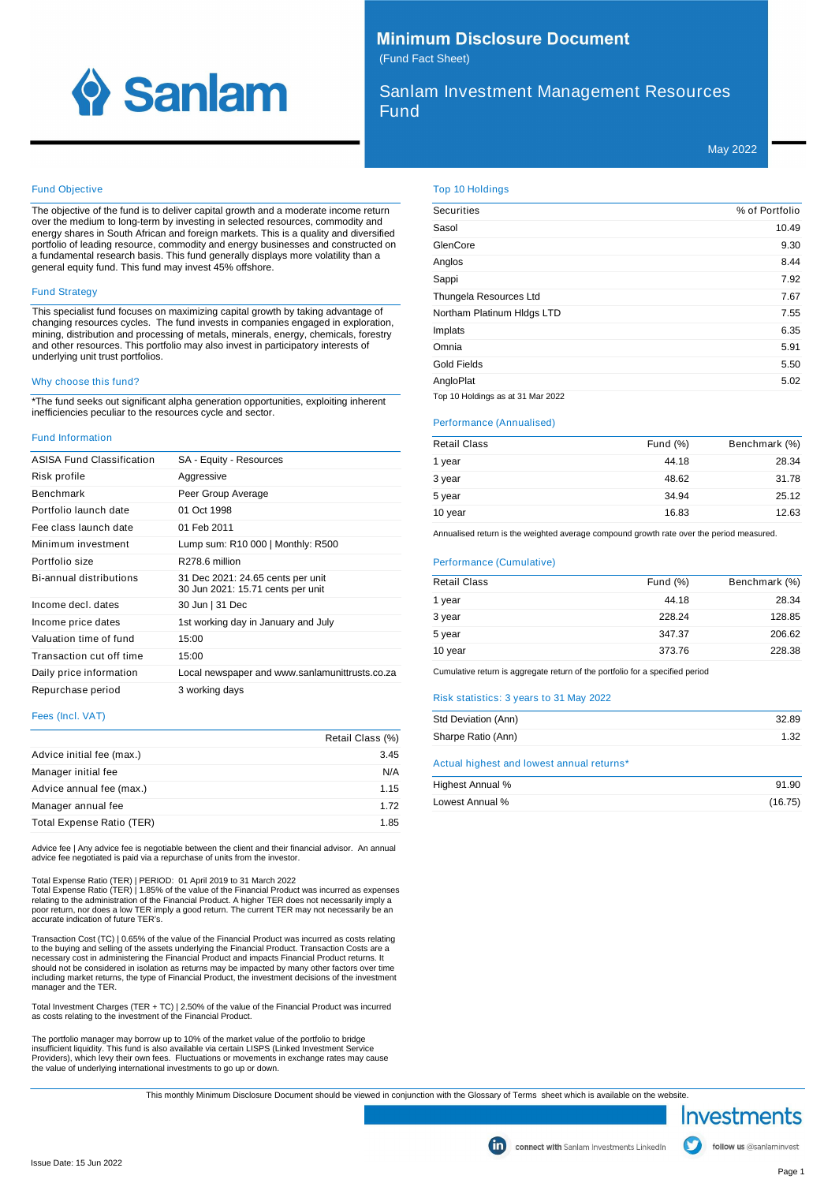

# **Minimum Disclosure Document** (Fund Fact Sheet)

Sanlam Investment Management Resources Fund

May 2022

### Fund Objective

The objective of the fund is to deliver capital growth and a moderate income return over the medium to long-term by investing in selected resources, commodity and energy shares in South African and foreign markets. This is a quality and diversified portfolio of leading resource, commodity and energy businesses and constructed on a fundamental research basis. This fund generally displays more volatility than a general equity fund. This fund may invest 45% offshore.

## Fund Strategy

This specialist fund focuses on maximizing capital growth by taking advantage of changing resources cycles. The fund invests in companies engaged in exploration, mining, distribution and processing of metals, minerals, energy, chemicals, forestry and other resources. This portfolio may also invest in participatory interests of underlying unit trust portfolios.

#### Why choose this fund?

\*The fund seeks out significant alpha generation opportunities, exploiting inherent inefficiencies peculiar to the resources cycle and sector.

#### Fund Information

| <b>ASISA Fund Classification</b> | SA - Equity - Resources                                                |
|----------------------------------|------------------------------------------------------------------------|
| Risk profile                     | Aggressive                                                             |
| <b>Benchmark</b>                 | Peer Group Average                                                     |
| Portfolio launch date            | 01 Oct 1998                                                            |
| Fee class launch date            | 01 Feb 2011                                                            |
| Minimum investment               | Lump sum: R10 000   Monthly: R500                                      |
| Portfolio size                   | R278.6 million                                                         |
| <b>Bi-annual distributions</b>   | 31 Dec 2021: 24.65 cents per unit<br>30 Jun 2021: 15.71 cents per unit |
| Income decl. dates               | 30 Jun   31 Dec                                                        |
| Income price dates               | 1st working day in January and July                                    |
| Valuation time of fund           | 15:00                                                                  |
| Transaction cut off time         | 15:00                                                                  |
| Daily price information          | Local newspaper and www.sanlamunittrusts.co.za                         |
| Repurchase period                | 3 working days                                                         |

### Fees (Incl. VAT)

|                           | Retail Class (%) |
|---------------------------|------------------|
| Advice initial fee (max.) | 3.45             |
| Manager initial fee       | N/A              |
| Advice annual fee (max.)  | 1.15             |
| Manager annual fee        | 1.72             |
| Total Expense Ratio (TER) | 1.85             |

Advice fee | Any advice fee is negotiable between the client and their financial advisor. An annual advice fee negotiated is paid via a repurchase of units from the investor.

Total Expense Ratio (TER) | PERIOD: 01 April 2019 to 31 March 2022

Total Expense Ratio (TER) | 1.85% of the value of the Financial Product was incurred as expenses relating to the administration of the Financial Product. A higher TER does not necessarily imply a poor return, nor does a low TER imply a good return. The current TER may not necessarily be an accurate indication of future TER's.

Transaction Cost (TC) | 0.65% of the value of the Financial Product was incurred as costs relating to the buying and selling of the assets underlying the Financial Product. Transaction Costs are a necessary cost in administering the Financial Product and impacts Financial Product returns. It should not be considered in isolation as returns may be impacted by many other factors over time including market returns, the type of Financial Product, the investment decisions of the investment manager and the TER.

Total Investment Charges (TER + TC) | 2.50% of the value of the Financial Product was incurred as costs relating to the investment of the Financial Product.

The portfolio manager may borrow up to 10% of the market value of the portfolio to bridge insufficient liquidity. This fund is also available via certain LISPS (Linked Investment Service Providers), which levy their own fees. Fluctuations or movements in exchange rates may cause the value of underlying international investments to go up or down. Top 10 Holdings

| <b>Securities</b>                 | % of Portfolio |
|-----------------------------------|----------------|
| Sasol                             | 10.49          |
| GlenCore                          | 9.30           |
| Anglos                            | 8.44           |
| Sappi                             | 7.92           |
| Thungela Resources Ltd            | 7.67           |
| Northam Platinum Hidgs LTD        | 7.55           |
| Implats                           | 6.35           |
| Omnia                             | 5.91           |
| <b>Gold Fields</b>                | 5.50           |
| AngloPlat                         | 5.02           |
| Top 10 Holdings as at 31 Mar 2022 |                |

#### Performance (Annualised)

| <b>Retail Class</b> | Fund $(\%)$ | Benchmark (%) |
|---------------------|-------------|---------------|
| 1 year              | 44.18       | 28.34         |
| 3 year              | 48.62       | 31.78         |
| 5 year              | 34.94       | 25.12         |
| 10 year             | 16.83       | 12.63         |

Annualised return is the weighted average compound growth rate over the period measured.

#### Performance (Cumulative)

| <b>Retail Class</b> | Fund $(\%)$ | Benchmark (%) |
|---------------------|-------------|---------------|
| 1 year              | 44.18       | 28.34         |
| 3 year              | 228.24      | 128.85        |
| 5 year              | 347.37      | 206.62        |
| 10 year             | 373.76      | 228.38        |

Cumulative return is aggregate return of the portfolio for a specified period

### Risk statistics: 3 years to 31 May 2022

| Std Deviation (Ann)                       | 32.89 |
|-------------------------------------------|-------|
| Sharpe Ratio (Ann)                        | 1.32  |
| Actual highest and lowest annual returns* |       |

| Highest Annual % | 91.90   |
|------------------|---------|
| Lowest Annual %  | (16.75) |



follow us @sanlaminvest

Issue Date: 15 Jun 2022